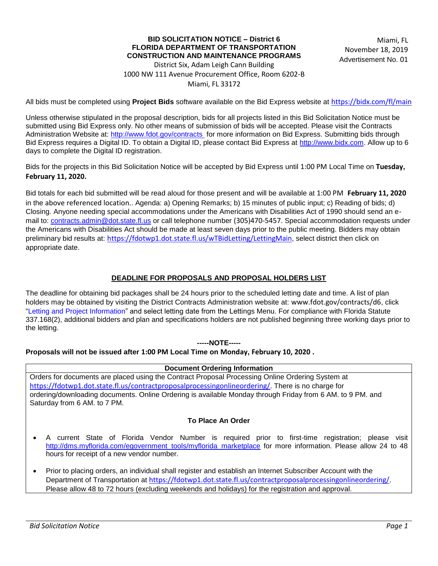# **BID SOLICITATION NOTICE – District 6 FLORIDA DEPARTMENT OF TRANSPORTATION CONSTRUCTION AND MAINTENANCE PROGRAMS**

Miami, FL November 18, 2019 Advertisement No. 01

District Six, Adam Leigh Cann Building 1000 NW 111 Avenue Procurement Office, Room 6202-B Miami, FL 33172

All bids must be completed using **Project Bids** software available on the Bid Express website at <https://bidx.com/fl/main>

Unless otherwise stipulated in the proposal description, bids for all projects listed in this Bid Solicitation Notice must be submitted using Bid Express only. No other means of submission of bids will be accepted. Please visit the Contracts Administration Website at:<http://www.fdot.gov/contracts>for more information on Bid Express. Submitting bids through Bid Express requires a Digital ID. To obtain a Digital ID, please contact Bid Express at [http://www.bidx.com.](http://www.bidx.com/) Allow up to 6 days to complete the Digital ID registration.

Bids for the projects in this Bid Solicitation Notice will be accepted by Bid Express until 1:00 PM Local Time on **Tuesday, February 11, 2020.**

Bid totals for each bid submitted will be read aloud for those present and will be available at 1:00 PM **February 11, 2020** in the above referenced location.. Agenda: a) Opening Remarks; b) 15 minutes of public input; c) Reading of bids; d) Closing. Anyone needing special accommodations under the Americans with Disabilities Act of 1990 should send an email to: [contracts.admin@dot.state.fl.us](mailto:contracts.admin@dot.state.fl.us) or call telephone number (305)470-5457. Special accommodation requests under the Americans with Disabilities Act should be made at least seven days prior to the public meeting. Bidders may obtain preliminary bid results at: <https://fdotwp1.dot.state.fl.us/wTBidLetting/LettingMain>, select district then click on appropriate date.

# **DEADLINE FOR PROPOSALS AND PROPOSAL HOLDERS LIST**

The deadline for obtaining bid packages shall be 24 hours prior to the scheduled letting date and time. A list of plan holders may be obtained by visiting the District Contracts Administration website at: www.fdot.gov/contracts/d6, click "Letting and Project Information" and select letting date from the Lettings Menu. For compliance with Florida Statute 337.168(2), additional bidders and plan and specifications holders are not published beginning three working days prior to the letting.

### **-----NOTE-----**

### **Proposals will not be issued after 1:00 PM Local Time on Monday, February 10, 2020 .**

#### **Document Ordering Information**

Orders for documents are placed using the Contract Proposal Processing Online Ordering System at <https://fdotwp1.dot.state.fl.us/contractproposalprocessingonlineordering/>. There is no charge for ordering/downloading documents. Online Ordering is available Monday through Friday from 6 AM. to 9 PM. and Saturday from 6 AM. to 7 PM.

### **To Place An Order**

- A current State of Florida Vendor Number is required prior to first-time registration; please visit [http://dms.myflorida.com/egovernment\\_tools/myflorida\\_marketplace](http://dms.myflorida.com/egovernment_tools/myflorida_marketplace) for more information. Please allow 24 to 48 hours for receipt of a new vendor number.
- Prior to placing orders, an individual shall register and establish an Internet Subscriber Account with the Department of Transportation at <https://fdotwp1.dot.state.fl.us/contractproposalprocessingonlineordering/>. Please allow 48 to 72 hours (excluding weekends and holidays) for the registration and approval.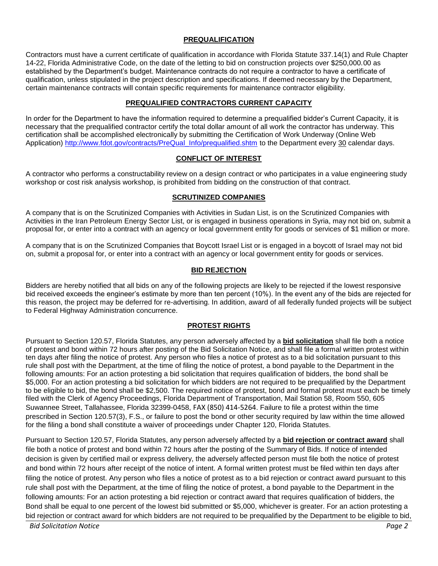# **PREQUALIFICATION**

Contractors must have a current certificate of qualification in accordance with Florida Statute 337.14(1) and Rule Chapter 14-22, Florida Administrative Code, on the date of the letting to bid on construction projects over \$250,000.00 as established by the Department's budget. Maintenance contracts do not require a contractor to have a certificate of qualification, unless stipulated in the project description and specifications. If deemed necessary by the Department, certain maintenance contracts will contain specific requirements for maintenance contractor eligibility.

### **PREQUALIFIED CONTRACTORS CURRENT CAPACITY**

In order for the Department to have the information required to determine a prequalified bidder's Current Capacity, it is necessary that the prequalified contractor certify the total dollar amount of all work the contractor has underway. This certification shall be accomplished electronically by submitting the Certification of Work Underway (Online Web Application) [http://www.fdot.gov/contracts/PreQual\\_Info/prequalified.shtm](http://www.fdot.gov/contracts/PreQual_Info/prequalified.shtm) to the Department every 30 calendar days.

### **CONFLICT OF INTEREST**

A contractor who performs a constructability review on a design contract or who participates in a value engineering study workshop or cost risk analysis workshop, is prohibited from bidding on the construction of that contract.

### **SCRUTINIZED COMPANIES**

A company that is on the Scrutinized Companies with Activities in Sudan List, is on the Scrutinized Companies with Activities in the Iran Petroleum Energy Sector List, or is engaged in business operations in Syria, may not bid on, submit a proposal for, or enter into a contract with an agency or local government entity for goods or services of \$1 million or more.

A company that is on the Scrutinized Companies that Boycott Israel List or is engaged in a boycott of Israel may not bid on, submit a proposal for, or enter into a contract with an agency or local government entity for goods or services.

# **BID REJECTION**

Bidders are hereby notified that all bids on any of the following projects are likely to be rejected if the lowest responsive bid received exceeds the engineer's estimate by more than ten percent (10%). In the event any of the bids are rejected for this reason, the project may be deferred for re-advertising. In addition, award of all federally funded projects will be subject to Federal Highway Administration concurrence.

# **PROTEST RIGHTS**

Pursuant to Section 120.57, Florida Statutes, any person adversely affected by a **bid solicitation** shall file both a notice of protest and bond within 72 hours after posting of the Bid Solicitation Notice, and shall file a formal written protest within ten days after filing the notice of protest. Any person who files a notice of protest as to a bid solicitation pursuant to this rule shall post with the Department, at the time of filing the notice of protest, a bond payable to the Department in the following amounts: For an action protesting a bid solicitation that requires qualification of bidders, the bond shall be \$5,000. For an action protesting a bid solicitation for which bidders are not required to be prequalified by the Department to be eligible to bid, the bond shall be \$2,500. The required notice of protest, bond and formal protest must each be timely filed with the Clerk of Agency Proceedings, Florida Department of Transportation, Mail Station 58, Room 550, 605 Suwannee Street, Tallahassee, Florida 32399-0458, FAX (850) 414-5264. Failure to file a protest within the time prescribed in Section 120.57(3), F.S., or failure to post the bond or other security required by law within the time allowed for the filing a bond shall constitute a waiver of proceedings under Chapter 120, Florida Statutes.

Pursuant to Section 120.57, Florida Statutes, any person adversely affected by a **bid rejection or contract award** shall file both a notice of protest and bond within 72 hours after the posting of the Summary of Bids. If notice of intended decision is given by certified mail or express delivery, the adversely affected person must file both the notice of protest and bond within 72 hours after receipt of the notice of intent. A formal written protest must be filed within ten days after filing the notice of protest. Any person who files a notice of protest as to a bid rejection or contract award pursuant to this rule shall post with the Department, at the time of filing the notice of protest, a bond payable to the Department in the following amounts: For an action protesting a bid rejection or contract award that requires qualification of bidders, the Bond shall be equal to one percent of the lowest bid submitted or \$5,000, whichever is greater. For an action protesting a bid rejection or contract award for which bidders are not required to be prequalified by the Department to be eligible to bid,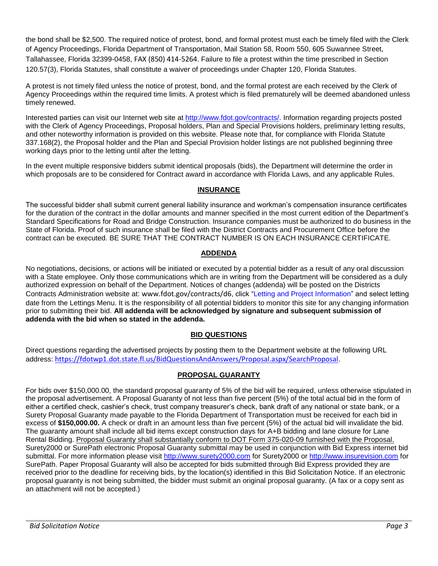the bond shall be \$2,500. The required notice of protest, bond, and formal protest must each be timely filed with the Clerk of Agency Proceedings, Florida Department of Transportation, Mail Station 58, Room 550, 605 Suwannee Street, Tallahassee, Florida 32399-0458, FAX (850) 414-5264. Failure to file a protest within the time prescribed in Section 120.57(3), Florida Statutes, shall constitute a waiver of proceedings under Chapter 120, Florida Statutes.

A protest is not timely filed unless the notice of protest, bond, and the formal protest are each received by the Clerk of Agency Proceedings within the required time limits. A protest which is filed prematurely will be deemed abandoned unless timely renewed.

Interested parties can visit our Internet web site at [http://www.fdot.gov/contracts/.](http://www.fdot.gov/contracts/) Information regarding projects posted with the Clerk of Agency Proceedings, Proposal holders, Plan and Special Provisions holders, preliminary letting results, and other noteworthy information is provided on this website. Please note that, for compliance with Florida Statute 337.168(2), the Proposal holder and the Plan and Special Provision holder listings are not published beginning three working days prior to the letting until after the letting.

In the event multiple responsive bidders submit identical proposals (bids), the Department will determine the order in which proposals are to be considered for Contract award in accordance with Florida Laws, and any applicable Rules.

# **INSURANCE**

The successful bidder shall submit current general liability insurance and workman's compensation insurance certificates for the duration of the contract in the dollar amounts and manner specified in the most current edition of the Department's Standard Specifications for Road and Bridge Construction. Insurance companies must be authorized to do business in the State of Florida. Proof of such insurance shall be filed with the District Contracts and Procurement Office before the contract can be executed. BE SURE THAT THE CONTRACT NUMBER IS ON EACH INSURANCE CERTIFICATE.

# **ADDENDA**

No negotiations, decisions, or actions will be initiated or executed by a potential bidder as a result of any oral discussion with a State employee. Only those communications which are in writing from the Department will be considered as a duly authorized expression on behalf of the Department. Notices of changes (addenda) will be posted on the Districts Contracts Administration website at: www.fdot.gov/contracts/d6, click "Letting and Project Information" and select letting date from the Lettings Menu. It is the responsibility of all potential bidders to monitor this site for any changing information prior to submitting their bid. **All addenda will be acknowledged by signature and subsequent submission of addenda with the bid when so stated in the addenda.**

# **BID QUESTIONS**

Direct questions regarding the advertised projects by posting them to the Department website at the following URL address: <https://fdotwp1.dot.state.fl.us/BidQuestionsAndAnswers/Proposal.aspx/SearchProposal>.

# **PROPOSAL GUARANTY**

For bids over \$150,000.00, the standard proposal guaranty of 5% of the bid will be required, unless otherwise stipulated in the proposal advertisement. A Proposal Guaranty of not less than five percent (5%) of the total actual bid in the form of either a certified check, cashier's check, trust company treasurer's check, bank draft of any national or state bank, or a Surety Proposal Guaranty made payable to the Florida Department of Transportation must be received for each bid in excess of **\$150,000.00.** A check or draft in an amount less than five percent (5%) of the actual bid will invalidate the bid. The guaranty amount shall include all bid items except construction days for A+B bidding and lane closure for Lane Rental Bidding. Proposal Guaranty shall substantially conform to DOT Form 375-020-09 furnished with the Proposal. Surety2000 or SurePath electronic Proposal Guaranty submittal may be used in conjunction with Bid Express internet bid submittal. For more information please visit [http://www.surety2000.com](http://www.surety2000.com/) for Surety2000 or [http://www.insurevision.com](http://www.insurevision.com/) for SurePath. Paper Proposal Guaranty will also be accepted for bids submitted through Bid Express provided they are received prior to the deadline for receiving bids, by the location(s) identified in this Bid Solicitation Notice. If an electronic proposal guaranty is not being submitted, the bidder must submit an original proposal guaranty. (A fax or a copy sent as an attachment will not be accepted.)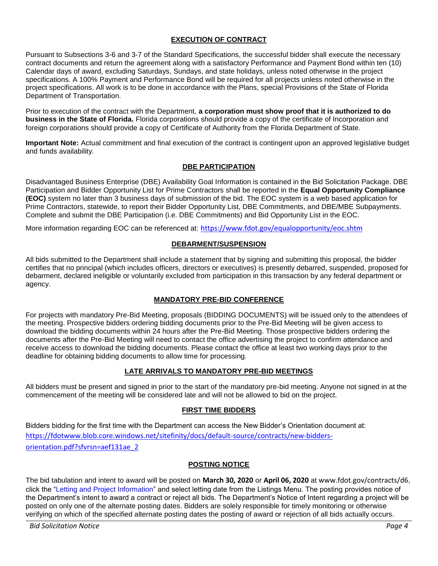# **EXECUTION OF CONTRACT**

Pursuant to Subsections 3-6 and 3-7 of the Standard Specifications, the successful bidder shall execute the necessary contract documents and return the agreement along with a satisfactory Performance and Payment Bond within ten (10) Calendar days of award, excluding Saturdays, Sundays, and state holidays, unless noted otherwise in the project specifications. A 100% Payment and Performance Bond will be required for all projects unless noted otherwise in the project specifications. All work is to be done in accordance with the Plans, special Provisions of the State of Florida Department of Transportation.

Prior to execution of the contract with the Department, **a corporation must show proof that it is authorized to do business in the State of Florida.** Florida corporations should provide a copy of the certificate of Incorporation and foreign corporations should provide a copy of Certificate of Authority from the Florida Department of State.

**Important Note:** Actual commitment and final execution of the contract is contingent upon an approved legislative budget and funds availability.

### **DBE PARTICIPATION**

Disadvantaged Business Enterprise (DBE) Availability Goal Information is contained in the Bid Solicitation Package. DBE Participation and Bidder Opportunity List for Prime Contractors shall be reported in the **Equal Opportunity Compliance (EOC)** system no later than 3 business days of submission of the bid. The EOC system is a web based application for Prime Contractors, statewide, to report their Bidder Opportunity List, DBE Commitments, and DBE/MBE Subpayments. Complete and submit the DBE Participation (i.e. DBE Commitments) and Bid Opportunity List in the EOC.

More information regarding EOC can be referenced at: <https://www.fdot.gov/equalopportunity/eoc.shtm>

# **DEBARMENT/SUSPENSION**

All bids submitted to the Department shall include a statement that by signing and submitting this proposal, the bidder certifies that no principal (which includes officers, directors or executives) is presently debarred, suspended, proposed for debarment, declared ineligible or voluntarily excluded from participation in this transaction by any federal department or agency.

### **MANDATORY PRE-BID CONFERENCE**

For projects with mandatory Pre-Bid Meeting, proposals (BIDDING DOCUMENTS) will be issued only to the attendees of the meeting. Prospective bidders ordering bidding documents prior to the Pre-Bid Meeting will be given access to download the bidding documents within 24 hours after the Pre-Bid Meeting. Those prospective bidders ordering the documents after the Pre-Bid Meeting will need to contact the office advertising the project to confirm attendance and receive access to download the bidding documents. Please contact the office at least two working days prior to the deadline for obtaining bidding documents to allow time for processing.

### **LATE ARRIVALS TO MANDATORY PRE-BID MEETINGS**

All bidders must be present and signed in prior to the start of the mandatory pre-bid meeting. Anyone not signed in at the commencement of the meeting will be considered late and will not be allowed to bid on the project.

### **FIRST TIME BIDDERS**

Bidders bidding for the first time with the Department can access the New Bidder's Orientation document at: [https://fdotwww.blob.core.windows.net/sitefinity/docs/default-source/contracts/new-bidders](https://fdotwww.blob.core.windows.net/sitefinity/docs/default-source/contracts/new-bidders-orientation.pdf?sfvrsn=aef131ae_2)[orientation.pdf?sfvrsn=aef131ae\\_2](https://fdotwww.blob.core.windows.net/sitefinity/docs/default-source/contracts/new-bidders-orientation.pdf?sfvrsn=aef131ae_2)

### **POSTING NOTICE**

The bid tabulation and intent to award will be posted on **March 30, 2020** or **April 06, 2020** at www.fdot.gov/contracts/d6, click the "Letting and Project Information" and select letting date from the Listings Menu. The posting provides notice of the Department's intent to award a contract or reject all bids. The Department's Notice of Intent regarding a project will be posted on only one of the alternate posting dates. Bidders are solely responsible for timely monitoring or otherwise verifying on which of the specified alternate posting dates the posting of award or rejection of all bids actually occurs.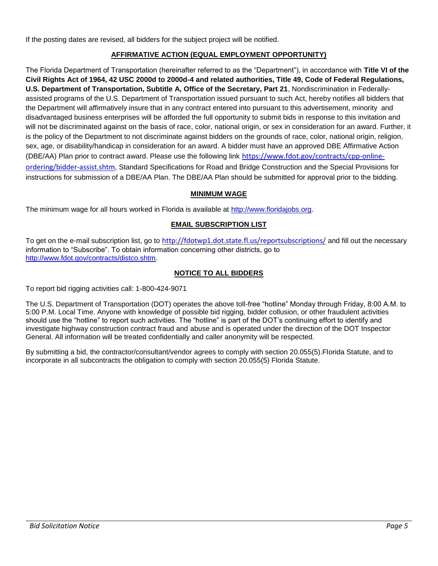If the posting dates are revised, all bidders for the subject project will be notified.

# **AFFIRMATIVE ACTION (EQUAL EMPLOYMENT OPPORTUNITY)**

The Florida Department of Transportation (hereinafter referred to as the "Department"), in accordance with **Title VI of the Civil Rights Act of 1964, 42 USC 2000d to 2000d-4 and related authorities, Title 49, Code of Federal Regulations, U.S. Department of Transportation, Subtitle A, Office of the Secretary, Part 21**, Nondiscrimination in Federallyassisted programs of the U.S. Department of Transportation issued pursuant to such Act, hereby notifies all bidders that the Department will affirmatively insure that in any contract entered into pursuant to this advertisement, minority and disadvantaged business enterprises will be afforded the full opportunity to submit bids in response to this invitation and will not be discriminated against on the basis of race, color, national origin, or sex in consideration for an award. Further, it is the policy of the Department to not discriminate against bidders on the grounds of race, color, national origin, religion, sex, age, or disability/handicap in consideration for an award. A bidder must have an approved DBE Affirmative Action (DBE/AA) Plan prior to contract award. Please use the following link [https://www.fdot.gov/contracts/cpp-online](https://www.fdot.gov/contracts/cpp-online-ordering/bidder-assist.shtm)[ordering/bidder-assist.shtm](https://www.fdot.gov/contracts/cpp-online-ordering/bidder-assist.shtm), Standard Specifications for Road and Bridge Construction and the Special Provisions for instructions for submission of a DBE/AA Plan. The DBE/AA Plan should be submitted for approval prior to the bidding.

# **MINIMUM WAGE**

The minimum wage for all hours worked in Florida is available at [http://www.floridajobs.org.](http://www.floridajobs.org/)

# **EMAIL SUBSCRIPTION LIST**

To get on the e-mail subscription list, go to <http://fdotwp1.dot.state.fl.us/reportsubscriptions/> and fill out the necessary information to "Subscribe". To obtain information concerning other districts, go to [http://www.fdot.gov/contracts/distco.shtm.](http://www.fdot.gov/contracts/distco.shtm)

# **NOTICE TO ALL BIDDERS**

To report bid rigging activities call: 1-800-424-9071

The U.S. Department of Transportation (DOT) operates the above toll-free "hotline" Monday through Friday, 8:00 A.M. to 5:00 P.M. Local Time. Anyone with knowledge of possible bid rigging, bidder collusion, or other fraudulent activities should use the "hotline" to report such activities. The "hotline" is part of the DOT's continuing effort to identify and investigate highway construction contract fraud and abuse and is operated under the direction of the DOT Inspector General. All information will be treated confidentially and caller anonymity will be respected.

By submitting a bid, the contractor/consultant/vendor agrees to comply with section 20.055(5).Florida Statute, and to incorporate in all subcontracts the obligation to comply with section 20.055(5) Florida Statute.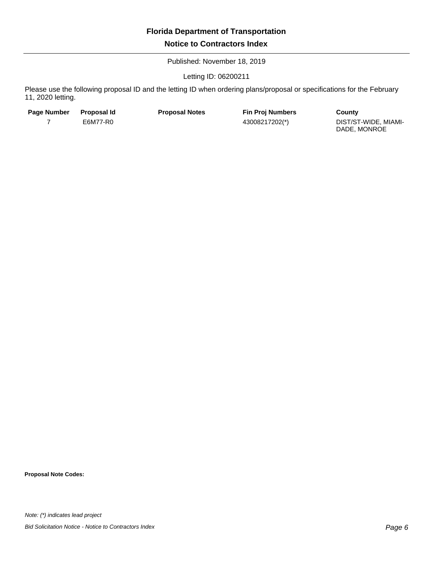Published: November 18, 2019

Letting ID: 06200211

Please use the following proposal ID and the letting ID when ordering plans/proposal or specifications for the February 11, 2020 letting.

| Page Number | <b>Proposal Id</b> | <b>Proposal Notes</b> | <b>Fin Proi Numbers</b> | County                               |
|-------------|--------------------|-----------------------|-------------------------|--------------------------------------|
|             | E6M77-R0           |                       | 43008217202(*)          | DIST/ST-WIDE, MIAMI-<br>DADE, MONROE |

**Proposal Note Codes:**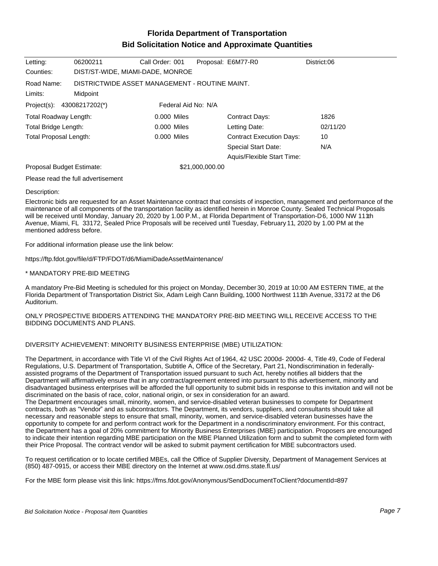# **Florida Department of Transportation Bid Solicitation Notice and Approximate Quantities**

| Letting:                   | 06200211                         | Call Order: 001                                |                 | Proposal: E6M77-R0              | District:06 |
|----------------------------|----------------------------------|------------------------------------------------|-----------------|---------------------------------|-------------|
| Counties:                  | DIST/ST-WIDE, MIAMI-DADE, MONROE |                                                |                 |                                 |             |
| Road Name:                 |                                  | DISTRICTWIDE ASSET MANAGEMENT - ROUTINE MAINT. |                 |                                 |             |
| Limits:                    | Midpoint                         |                                                |                 |                                 |             |
| Project(s): 43008217202(*) |                                  | Federal Aid No: N/A                            |                 |                                 |             |
| Total Roadway Length:      |                                  | 0.000 Miles                                    |                 | <b>Contract Days:</b>           | 1826        |
| Total Bridge Length:       |                                  | 0.000 Miles                                    |                 | Letting Date:                   | 02/11/20    |
| Total Proposal Length:     |                                  | 0.000 Miles                                    |                 | <b>Contract Execution Days:</b> | 10          |
|                            |                                  |                                                |                 | <b>Special Start Date:</b>      | N/A         |
|                            |                                  |                                                |                 | Aquis/Flexible Start Time:      |             |
| Proposal Budget Estimate:  |                                  |                                                | \$21,000,000.00 |                                 |             |
|                            |                                  |                                                |                 |                                 |             |

Please read the full advertisement

#### Description:

Electronic bids are requested for an Asset Maintenance contract that consists of inspection, management and performance of the maintenance of all components of the transportation facility as identified herein in Monroe County. Sealed Technical Proposals will be received until Monday, January 20, 2020 by 1.00 P.M., at Florida Department of Transportation-D6, 1000 NW 111th Avenue, Miami, FL 33172, Sealed Price Proposals will be received until Tuesday, February 11, 2020 by 1.00 PM at the mentioned address before.

For additional information please use the link below:

https://ftp.fdot.gov/file/d/FTP/FDOT/d6/MiamiDadeAssetMaintenance/

#### \* MANDATORY PRE-BID MEETING

A mandatory Pre-Bid Meeting is scheduled for this project on Monday, December 30, 2019 at 10:00 AM ESTERN TIME, at the Florida Department of Transportation District Six, Adam Leigh Cann Building, 1000 Northwest 111th Avenue, 33172 at the D6 Auditorium.

#### ONLY PROSPECTIVE BIDDERS ATTENDING THE MANDATORY PRE-BID MEETING WILL RECEIVE ACCESS TO THE BIDDING DOCUMENTS AND PLANS.

#### DIVERSITY ACHIEVEMENT: MINORITY BUSINESS ENTERPRISE (MBE) UTILIZATION:

The Department, in accordance with Title VI of the Civil Rights Act of 1964, 42 USC 2000d- 2000d- 4, Title 49, Code of Federal Regulations, U.S. Department of Transportation, Subtitle A, Office of the Secretary, Part 21, Nondiscrimination in federallyassisted programs of the Department of Transportation issued pursuant to such Act, hereby notifies all bidders that the Department will affirmatively ensure that in any contract/agreement entered into pursuant to this advertisement, minority and disadvantaged business enterprises will be afforded the full opportunity to submit bids in response to this invitation and will not be discriminated on the basis of race, color, national origin, or sex in consideration for an award.

The Department encourages small, minority, women, and service-disabled veteran businesses to compete for Department contracts, both as "Vendor" and as subcontractors. The Department, its vendors, suppliers, and consultants should take all necessary and reasonable steps to ensure that small, minority, women, and service-disabled veteran businesses have the opportunity to compete for and perform contract work for the Department in a nondiscriminatory environment. For this contract, the Department has a goal of 20% commitment for Minority Business Enterprises (MBE) participation. Proposers are encouraged to indicate their intention regarding MBE participation on the MBE Planned Utilization form and to submit the completed form with their Price Proposal. The contract vendor will be asked to submit payment certification for MBE subcontractors used.

To request certification or to locate certified MBEs, call the Office of Supplier Diversity, Department of Management Services at (850) 487-0915, or access their MBE directory on the Internet at www.osd.dms.state.fl.us/

For the MBE form please visit this link: https://fms.fdot.gov/Anonymous/SendDocumentToClient?documentId=897